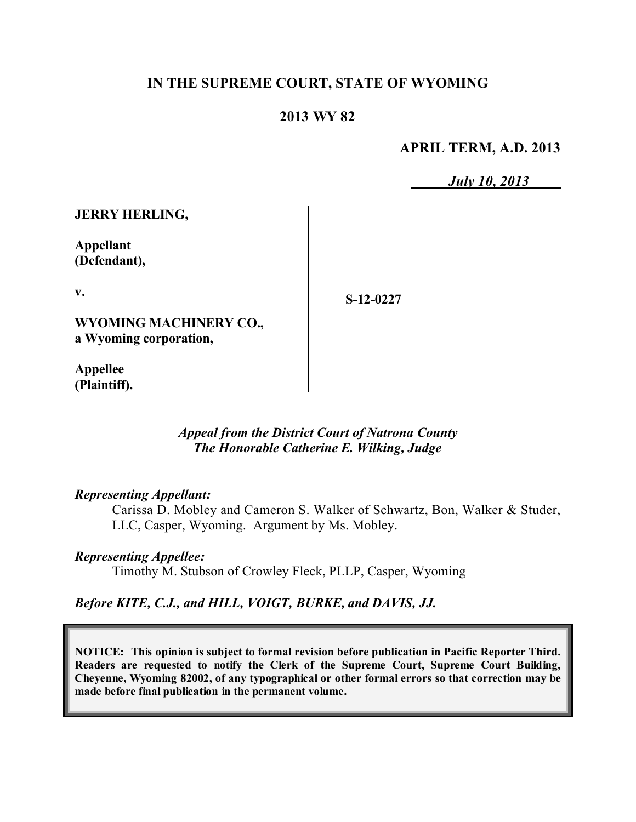## **IN THE SUPREME COURT, STATE OF WYOMING**

## **2013 WY 82**

**APRIL TERM, A.D. 2013**

*July 10, 2013*

**JERRY HERLING,**

**Appellant (Defendant),**

**v.**

**S-12-0227**

**WYOMING MACHINERY CO., a Wyoming corporation,**

**Appellee (Plaintiff).**

### *Appeal from the District Court of Natrona County The Honorable Catherine E. Wilking, Judge*

#### *Representing Appellant:*

Carissa D. Mobley and Cameron S. Walker of Schwartz, Bon, Walker & Studer, LLC, Casper, Wyoming. Argument by Ms. Mobley.

#### *Representing Appellee:*

Timothy M. Stubson of Crowley Fleck, PLLP, Casper, Wyoming

#### *Before KITE, C.J., and HILL, VOIGT, BURKE, and DAVIS, JJ.*

**NOTICE: This opinion is subject to formal revision before publication in Pacific Reporter Third. Readers are requested to notify the Clerk of the Supreme Court, Supreme Court Building, Cheyenne, Wyoming 82002, of any typographical or other formal errors so that correction may be made before final publication in the permanent volume.**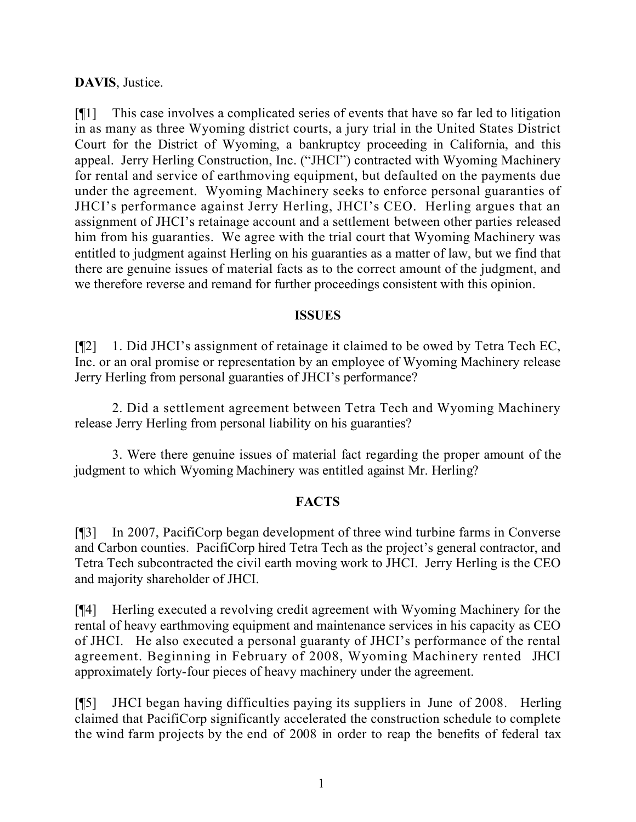## **DAVIS**, Justice.

[¶1] This case involves a complicated series of events that have so far led to litigation in as many as three Wyoming district courts, a jury trial in the United States District Court for the District of Wyoming, a bankruptcy proceeding in California, and this appeal. Jerry Herling Construction, Inc. ("JHCI") contracted with Wyoming Machinery for rental and service of earthmoving equipment, but defaulted on the payments due under the agreement. Wyoming Machinery seeks to enforce personal guaranties of JHCI's performance against Jerry Herling, JHCI's CEO. Herling argues that an assignment of JHCI's retainage account and a settlement between other parties released him from his guaranties. We agree with the trial court that Wyoming Machinery was entitled to judgment against Herling on his guaranties as a matter of law, but we find that there are genuine issues of material facts as to the correct amount of the judgment, and we therefore reverse and remand for further proceedings consistent with this opinion.

### **ISSUES**

[¶2] 1. Did JHCI's assignment of retainage it claimed to be owed by Tetra Tech EC, Inc. or an oral promise or representation by an employee of Wyoming Machinery release Jerry Herling from personal guaranties of JHCI's performance?

2. Did a settlement agreement between Tetra Tech and Wyoming Machinery release Jerry Herling from personal liability on his guaranties?

3. Were there genuine issues of material fact regarding the proper amount of the judgment to which Wyoming Machinery was entitled against Mr. Herling?

## **FACTS**

[¶3] In 2007, PacifiCorp began development of three wind turbine farms in Converse and Carbon counties. PacifiCorp hired Tetra Tech as the project's general contractor, and Tetra Tech subcontracted the civil earth moving work to JHCI. Jerry Herling is the CEO and majority shareholder of JHCI.

[¶4] Herling executed a revolving credit agreement with Wyoming Machinery for the rental of heavy earthmoving equipment and maintenance services in his capacity as CEO of JHCI. He also executed a personal guaranty of JHCI's performance of the rental agreement. Beginning in February of 2008, Wyoming Machinery rented JHCI approximately forty-four pieces of heavy machinery under the agreement.

[¶5] JHCI began having difficulties paying its suppliers in June of 2008. Herling claimed that PacifiCorp significantly accelerated the construction schedule to complete the wind farm projects by the end of 2008 in order to reap the benefits of federal tax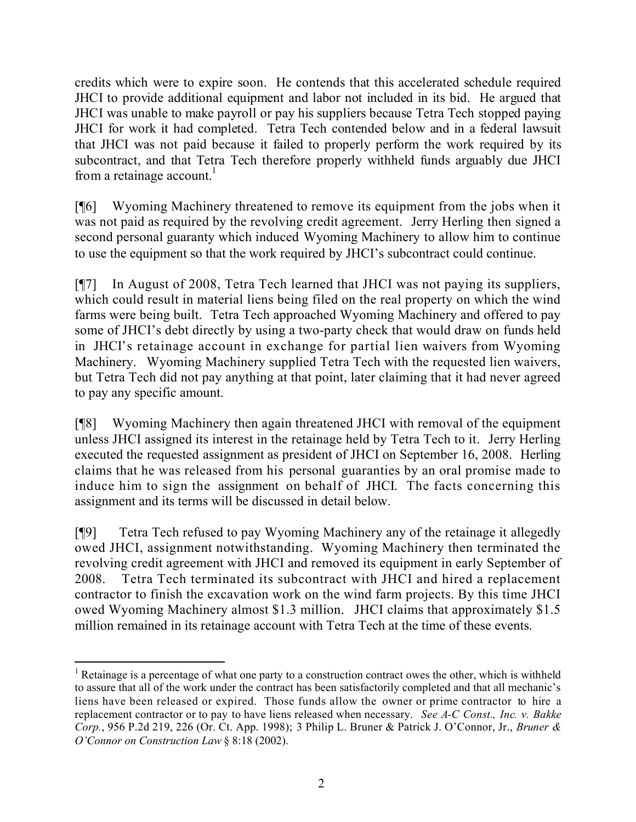credits which were to expire soon. He contends that this accelerated schedule required JHCI to provide additional equipment and labor not included in its bid. He argued that JHCI was unable to make payroll or pay his suppliers because Tetra Tech stopped paying JHCI for work it had completed. Tetra Tech contended below and in a federal lawsuit that JHCI was not paid because it failed to properly perform the work required by its subcontract, and that Tetra Tech therefore properly withheld funds arguably due JHCI from a retainage account. $<sup>1</sup>$ </sup>

[¶6] Wyoming Machinery threatened to remove its equipment from the jobs when it was not paid as required by the revolving credit agreement. Jerry Herling then signed a second personal guaranty which induced Wyoming Machinery to allow him to continue to use the equipment so that the work required by JHCI's subcontract could continue.

[¶7] In August of 2008, Tetra Tech learned that JHCI was not paying its suppliers, which could result in material liens being filed on the real property on which the wind farms were being built. Tetra Tech approached Wyoming Machinery and offered to pay some of JHCI's debt directly by using a two-party check that would draw on funds held in JHCI's retainage account in exchange for partial lien waivers from Wyoming Machinery. Wyoming Machinery supplied Tetra Tech with the requested lien waivers, but Tetra Tech did not pay anything at that point, later claiming that it had never agreed to pay any specific amount.

[¶8] Wyoming Machinery then again threatened JHCI with removal of the equipment unless JHCI assigned its interest in the retainage held by Tetra Tech to it. Jerry Herling executed the requested assignment as president of JHCI on September 16, 2008. Herling claims that he was released from his personal guaranties by an oral promise made to induce him to sign the assignment on behalf of JHCI. The facts concerning this assignment and its terms will be discussed in detail below.

[¶9] Tetra Tech refused to pay Wyoming Machinery any of the retainage it allegedly owed JHCI, assignment notwithstanding. Wyoming Machinery then terminated the revolving credit agreement with JHCI and removed its equipment in early September of 2008. Tetra Tech terminated its subcontract with JHCI and hired a replacement contractor to finish the excavation work on the wind farm projects. By this time JHCI owed Wyoming Machinery almost \$1.3 million. JHCI claims that approximately \$1.5 million remained in its retainage account with Tetra Tech at the time of these events.

 <sup>1</sup> Retainage is a percentage of what one party to a construction contract owes the other, which is withheld to assure that all of the work under the contract has been satisfactorily completed and that all mechanic's liens have been released or expired. Those funds allow the owner or prime contractor to hire a replacement contractor or to pay to have liens released when necessary. *See A-C Const., Inc. v. Bakke Corp.*, 956 P.2d 219, 226 (Or. Ct. App. 1998); 3 Philip L. Bruner & Patrick J. O'Connor, Jr., *Bruner & O'Connor on Construction Law* § 8:18 (2002).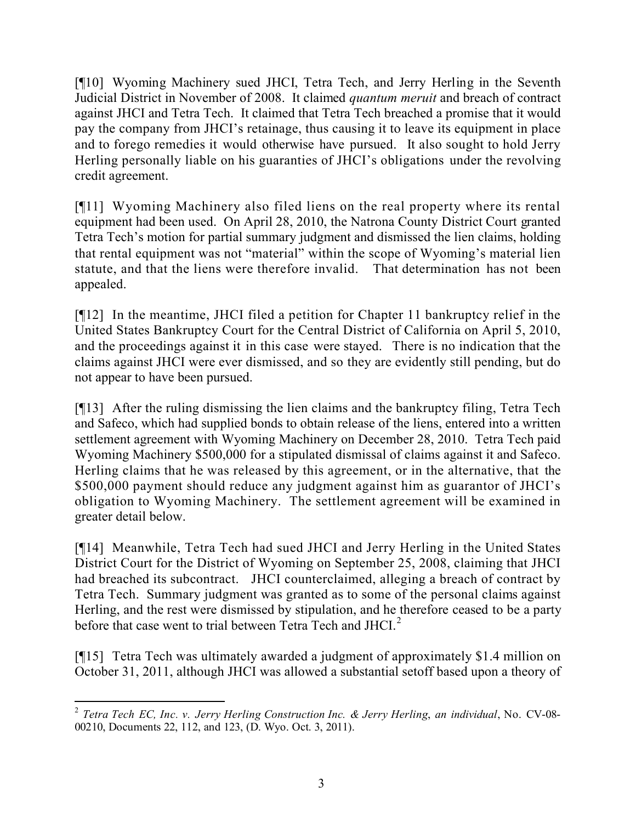[¶10] Wyoming Machinery sued JHCI, Tetra Tech, and Jerry Herling in the Seventh Judicial District in November of 2008. It claimed *quantum meruit* and breach of contract against JHCI and Tetra Tech. It claimed that Tetra Tech breached a promise that it would pay the company from JHCI's retainage, thus causing it to leave its equipment in place and to forego remedies it would otherwise have pursued. It also sought to hold Jerry Herling personally liable on his guaranties of JHCI's obligations under the revolving credit agreement.

[¶11] Wyoming Machinery also filed liens on the real property where its rental equipment had been used. On April 28, 2010, the Natrona County District Court granted Tetra Tech's motion for partial summary judgment and dismissed the lien claims, holding that rental equipment was not "material" within the scope of Wyoming's material lien statute, and that the liens were therefore invalid. That determination has not been appealed.

[¶12] In the meantime, JHCI filed a petition for Chapter 11 bankruptcy relief in the United States Bankruptcy Court for the Central District of California on April 5, 2010, and the proceedings against it in this case were stayed. There is no indication that the claims against JHCI were ever dismissed, and so they are evidently still pending, but do not appear to have been pursued.

[¶13] After the ruling dismissing the lien claims and the bankruptcy filing, Tetra Tech and Safeco, which had supplied bonds to obtain release of the liens, entered into a written settlement agreement with Wyoming Machinery on December 28, 2010. Tetra Tech paid Wyoming Machinery \$500,000 for a stipulated dismissal of claims against it and Safeco. Herling claims that he was released by this agreement, or in the alternative, that the \$500,000 payment should reduce any judgment against him as guarantor of JHCI's obligation to Wyoming Machinery. The settlement agreement will be examined in greater detail below.

[¶14] Meanwhile, Tetra Tech had sued JHCI and Jerry Herling in the United States District Court for the District of Wyoming on September 25, 2008, claiming that JHCI had breached its subcontract. JHCI counterclaimed, alleging a breach of contract by Tetra Tech. Summary judgment was granted as to some of the personal claims against Herling, and the rest were dismissed by stipulation, and he therefore ceased to be a party before that case went to trial between Tetra Tech and  $JHCl<sup>2</sup>$ 

[¶15] Tetra Tech was ultimately awarded a judgment of approximately \$1.4 million on October 31, 2011, although JHCI was allowed a substantial setoff based upon a theory of

 2 *Tetra Tech EC, Inc. v. Jerry Herling Construction Inc. & Jerry Herling*, *an individual*, No. CV-08- 00210, Documents 22, 112, and 123, (D. Wyo. Oct. 3, 2011).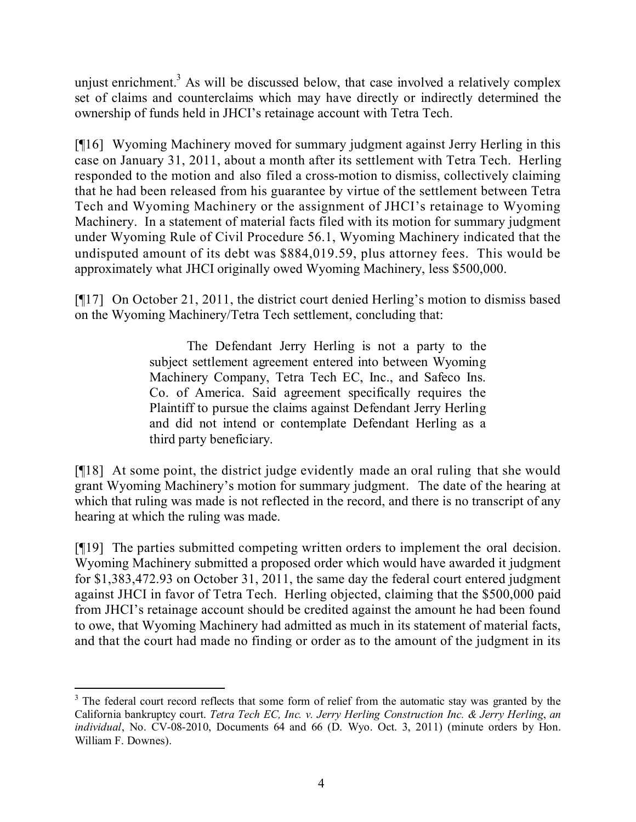unjust enrichment.<sup>3</sup> As will be discussed below, that case involved a relatively complex set of claims and counterclaims which may have directly or indirectly determined the ownership of funds held in JHCI's retainage account with Tetra Tech.

[¶16] Wyoming Machinery moved for summary judgment against Jerry Herling in this case on January 31, 2011, about a month after its settlement with Tetra Tech. Herling responded to the motion and also filed a cross-motion to dismiss, collectively claiming that he had been released from his guarantee by virtue of the settlement between Tetra Tech and Wyoming Machinery or the assignment of JHCI's retainage to Wyoming Machinery. In a statement of material facts filed with its motion for summary judgment under Wyoming Rule of Civil Procedure 56.1, Wyoming Machinery indicated that the undisputed amount of its debt was \$884,019.59, plus attorney fees. This would be approximately what JHCI originally owed Wyoming Machinery, less \$500,000.

[¶17] On October 21, 2011, the district court denied Herling's motion to dismiss based on the Wyoming Machinery/Tetra Tech settlement, concluding that:

> The Defendant Jerry Herling is not a party to the subject settlement agreement entered into between Wyoming Machinery Company, Tetra Tech EC, Inc., and Safeco Ins. Co. of America. Said agreement specifically requires the Plaintiff to pursue the claims against Defendant Jerry Herling and did not intend or contemplate Defendant Herling as a third party beneficiary.

[¶18] At some point, the district judge evidently made an oral ruling that she would grant Wyoming Machinery's motion for summary judgment. The date of the hearing at which that ruling was made is not reflected in the record, and there is no transcript of any hearing at which the ruling was made.

[¶19] The parties submitted competing written orders to implement the oral decision. Wyoming Machinery submitted a proposed order which would have awarded it judgment for \$1,383,472.93 on October 31, 2011, the same day the federal court entered judgment against JHCI in favor of Tetra Tech. Herling objected, claiming that the \$500,000 paid from JHCI's retainage account should be credited against the amount he had been found to owe, that Wyoming Machinery had admitted as much in its statement of material facts, and that the court had made no finding or order as to the amount of the judgment in its

 $\overline{a}$ <sup>3</sup> The federal court record reflects that some form of relief from the automatic stay was granted by the California bankruptcy court. *Tetra Tech EC, Inc. v. Jerry Herling Construction Inc. & Jerry Herling*, *an individual*, No. CV-08-2010, Documents 64 and 66 (D. Wyo. Oct. 3, 2011) (minute orders by Hon. William F. Downes).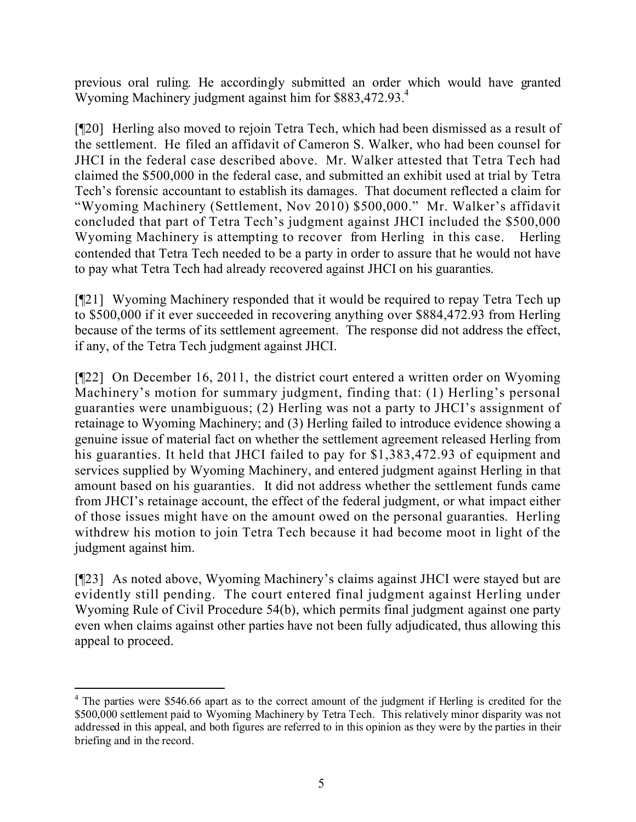previous oral ruling. He accordingly submitted an order which would have granted Wyoming Machinery judgment against him for \$883,472.93.<sup>4</sup>

[¶20] Herling also moved to rejoin Tetra Tech, which had been dismissed as a result of the settlement. He filed an affidavit of Cameron S. Walker, who had been counsel for JHCI in the federal case described above. Mr. Walker attested that Tetra Tech had claimed the \$500,000 in the federal case, and submitted an exhibit used at trial by Tetra Tech's forensic accountant to establish its damages. That document reflected a claim for "Wyoming Machinery (Settlement, Nov 2010) \$500,000." Mr. Walker's affidavit concluded that part of Tetra Tech's judgment against JHCI included the \$500,000 Wyoming Machinery is attempting to recover from Herling in this case. Herling contended that Tetra Tech needed to be a party in order to assure that he would not have to pay what Tetra Tech had already recovered against JHCI on his guaranties.

[¶21] Wyoming Machinery responded that it would be required to repay Tetra Tech up to \$500,000 if it ever succeeded in recovering anything over \$884,472.93 from Herling because of the terms of its settlement agreement. The response did not address the effect, if any, of the Tetra Tech judgment against JHCI.

[¶22] On December 16, 2011, the district court entered a written order on Wyoming Machinery's motion for summary judgment, finding that: (1) Herling's personal guaranties were unambiguous; (2) Herling was not a party to JHCI's assignment of retainage to Wyoming Machinery; and (3) Herling failed to introduce evidence showing a genuine issue of material fact on whether the settlement agreement released Herling from his guaranties. It held that JHCI failed to pay for \$1,383,472.93 of equipment and services supplied by Wyoming Machinery, and entered judgment against Herling in that amount based on his guaranties. It did not address whether the settlement funds came from JHCI's retainage account, the effect of the federal judgment, or what impact either of those issues might have on the amount owed on the personal guaranties. Herling withdrew his motion to join Tetra Tech because it had become moot in light of the judgment against him.

[¶23] As noted above, Wyoming Machinery's claims against JHCI were stayed but are evidently still pending. The court entered final judgment against Herling under Wyoming Rule of Civil Procedure 54(b), which permits final judgment against one party even when claims against other parties have not been fully adjudicated, thus allowing this appeal to proceed.

 $\overline{a}$  $4$  The parties were \$546.66 apart as to the correct amount of the judgment if Herling is credited for the \$500,000 settlement paid to Wyoming Machinery by Tetra Tech. This relatively minor disparity was not addressed in this appeal, and both figures are referred to in this opinion as they were by the parties in their briefing and in the record.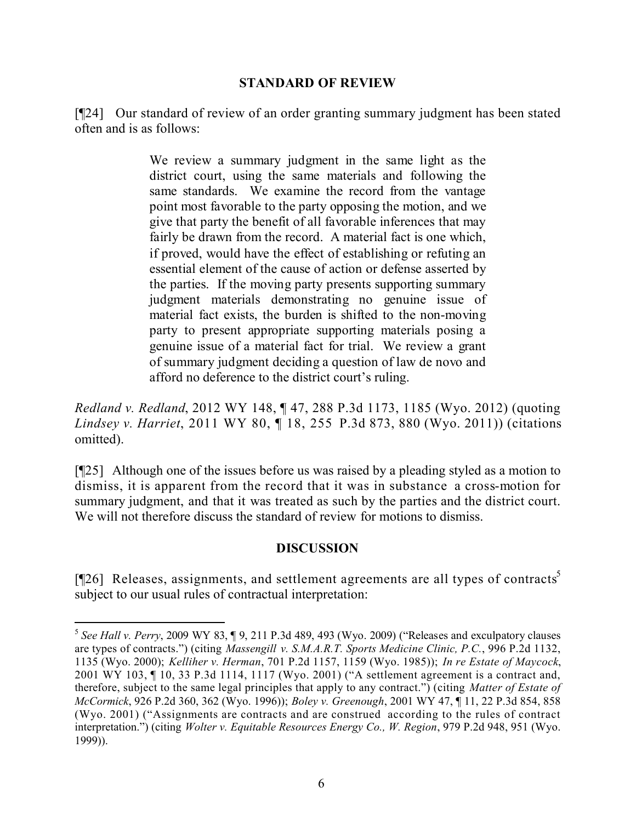#### **STANDARD OF REVIEW**

[¶24] Our standard of review of an order granting summary judgment has been stated often and is as follows:

> We review a summary judgment in the same light as the district court, using the same materials and following the same standards. We examine the record from the vantage point most favorable to the party opposing the motion, and we give that party the benefit of all favorable inferences that may fairly be drawn from the record. A material fact is one which, if proved, would have the effect of establishing or refuting an essential element of the cause of action or defense asserted by the parties. If the moving party presents supporting summary judgment materials demonstrating no genuine issue of material fact exists, the burden is shifted to the non-moving party to present appropriate supporting materials posing a genuine issue of a material fact for trial. We review a grant of summary judgment deciding a question of law de novo and afford no deference to the district court's ruling.

*Redland v. Redland*, 2012 WY 148, ¶ 47, 288 P.3d 1173, 1185 (Wyo. 2012) (quoting *Lindsey v. Harriet*, 2011 WY 80, ¶ 18, 255 P.3d 873, 880 (Wyo. 2011)) (citations omitted).

[¶25] Although one of the issues before us was raised by a pleading styled as a motion to dismiss, it is apparent from the record that it was in substance a cross-motion for summary judgment, and that it was treated as such by the parties and the district court. We will not therefore discuss the standard of review for motions to dismiss.

## **DISCUSSION**

[ $[$ 26] Releases, assignments, and settlement agreements are all types of contracts<sup>5</sup> subject to our usual rules of contractual interpretation:

 $\overline{a}$ 

<sup>5</sup> *See Hall v. Perry*, 2009 WY 83, ¶ 9, 211 P.3d 489, 493 (Wyo. 2009) ("Releases and exculpatory clauses are types of contracts.") (citing *Massengill v. S.M.A.R.T. Sports Medicine Clinic, P.C.*, 996 P.2d 1132, 1135 (Wyo. 2000); *Kelliher v. Herman*, 701 P.2d 1157, 1159 (Wyo. 1985)); *In re Estate of Maycock*, 2001 WY 103, ¶ 10, 33 P.3d 1114, 1117 (Wyo. 2001) ("A settlement agreement is a contract and, therefore, subject to the same legal principles that apply to any contract.") (citing *Matter of Estate of McCormick*, 926 P.2d 360, 362 (Wyo. 1996)); *Boley v. Greenough*, 2001 WY 47, ¶ 11, 22 P.3d 854, 858 (Wyo. 2001) ("Assignments are contracts and are construed according to the rules of contract interpretation.") (citing *Wolter v. Equitable Resources Energy Co., W. Region*, 979 P.2d 948, 951 (Wyo. 1999)).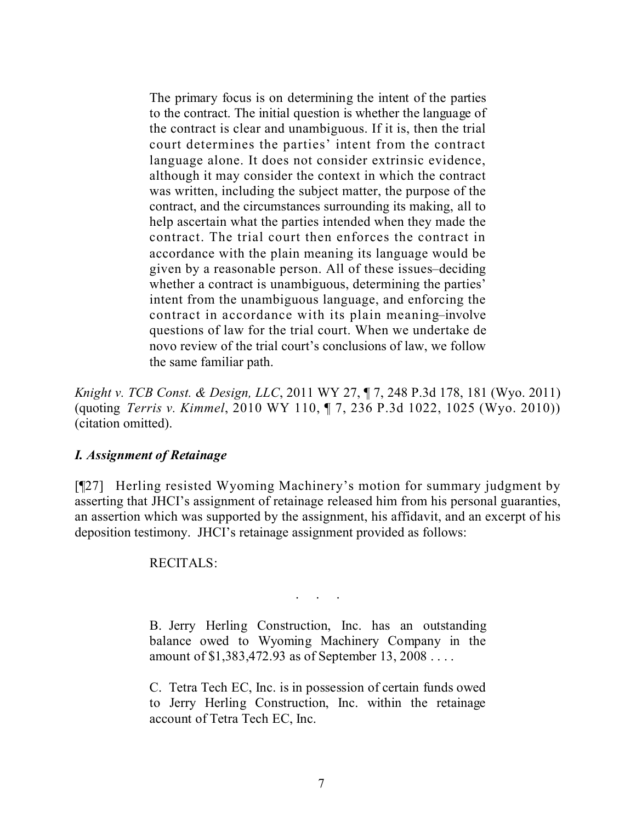The primary focus is on determining the intent of the parties to the contract. The initial question is whether the language of the contract is clear and unambiguous. If it is, then the trial court determines the parties' intent from the contract language alone. It does not consider extrinsic evidence, although it may consider the context in which the contract was written, including the subject matter, the purpose of the contract, and the circumstances surrounding its making, all to help ascertain what the parties intended when they made the contract. The trial court then enforces the contract in accordance with the plain meaning its language would be given by a reasonable person. All of these issues–deciding whether a contract is unambiguous, determining the parties' intent from the unambiguous language, and enforcing the contract in accordance with its plain meaning–involve questions of law for the trial court. When we undertake de novo review of the trial court's conclusions of law, we follow the same familiar path.

*Knight v. TCB Const. & Design, LLC*, 2011 WY 27, ¶ 7, 248 P.3d 178, 181 (Wyo. 2011) (quoting *Terris v. Kimmel*, 2010 WY 110, ¶ 7, 236 P.3d 1022, 1025 (Wyo. 2010)) (citation omitted).

#### *I. Assignment of Retainage*

[¶27] Herling resisted Wyoming Machinery's motion for summary judgment by asserting that JHCI's assignment of retainage released him from his personal guaranties, an assertion which was supported by the assignment, his affidavit, and an excerpt of his deposition testimony. JHCI's retainage assignment provided as follows:

#### RECITALS:

. . . . .<br>. . . . . .

B. Jerry Herling Construction, Inc. has an outstanding balance owed to Wyoming Machinery Company in the amount of \$1,383,472.93 as of September 13, 2008 . . . .

C. Tetra Tech EC, Inc. is in possession of certain funds owed to Jerry Herling Construction, Inc. within the retainage account of Tetra Tech EC, Inc.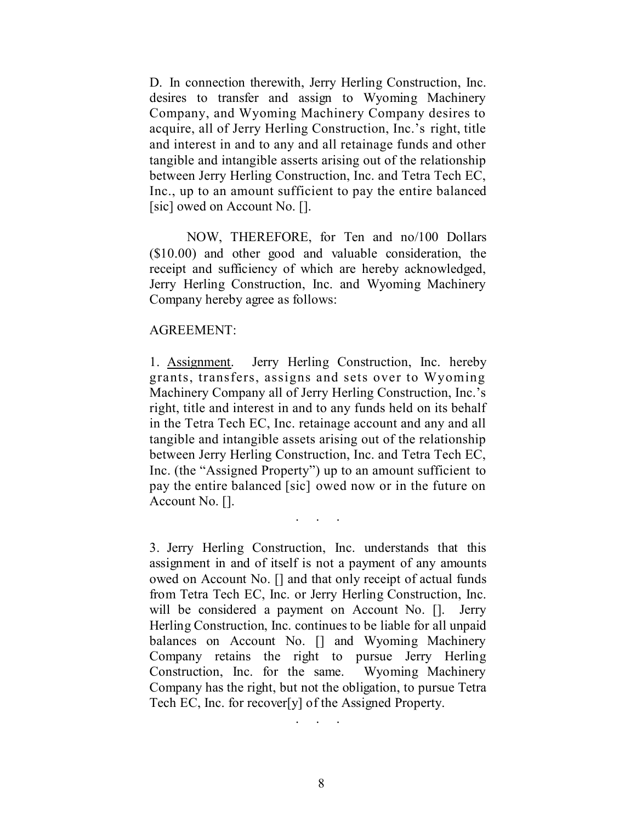D. In connection therewith, Jerry Herling Construction, Inc. desires to transfer and assign to Wyoming Machinery Company, and Wyoming Machinery Company desires to acquire, all of Jerry Herling Construction, Inc.'s right, title and interest in and to any and all retainage funds and other tangible and intangible asserts arising out of the relationship between Jerry Herling Construction, Inc. and Tetra Tech EC, Inc., up to an amount sufficient to pay the entire balanced [sic] owed on Account No. [].

NOW, THEREFORE, for Ten and no/100 Dollars (\$10.00) and other good and valuable consideration, the receipt and sufficiency of which are hereby acknowledged, Jerry Herling Construction, Inc. and Wyoming Machinery Company hereby agree as follows:

#### AGREEMENT:

1. Assignment. Jerry Herling Construction, Inc. hereby grants, transfers, assigns and sets over to Wyoming Machinery Company all of Jerry Herling Construction, Inc.'s right, title and interest in and to any funds held on its behalf in the Tetra Tech EC, Inc. retainage account and any and all tangible and intangible assets arising out of the relationship between Jerry Herling Construction, Inc. and Tetra Tech EC, Inc. (the "Assigned Property") up to an amount sufficient to pay the entire balanced [sic] owed now or in the future on Account No. [].

. . .

3. Jerry Herling Construction, Inc. understands that this assignment in and of itself is not a payment of any amounts owed on Account No. [] and that only receipt of actual funds from Tetra Tech EC, Inc. or Jerry Herling Construction, Inc. will be considered a payment on Account No. []. Jerry Herling Construction, Inc. continues to be liable for all unpaid balances on Account No. [] and Wyoming Machinery Company retains the right to pursue Jerry Herling Construction, Inc. for the same. Wyoming Machinery Company has the right, but not the obligation, to pursue Tetra Tech EC, Inc. for recover[y] of the Assigned Property.

. . . . .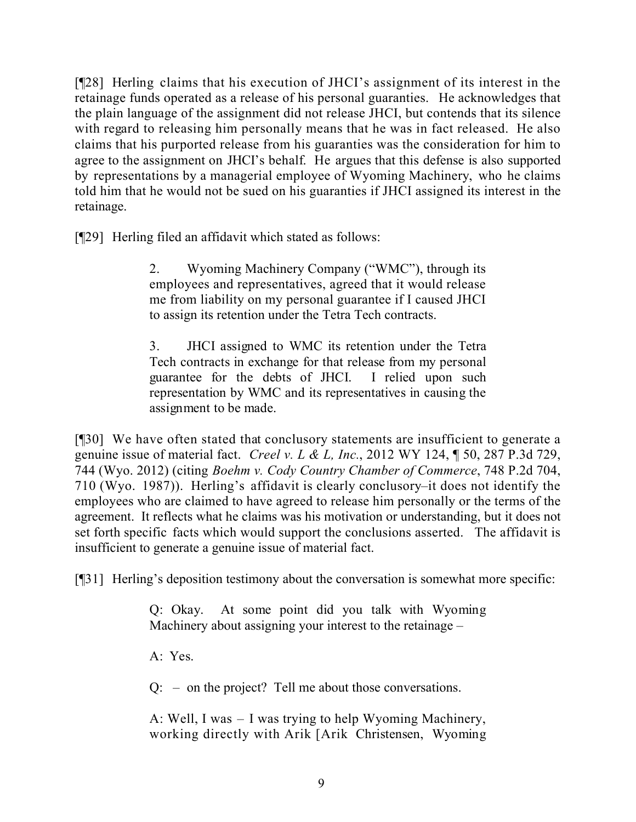[¶28] Herling claims that his execution of JHCI's assignment of its interest in the retainage funds operated as a release of his personal guaranties. He acknowledges that the plain language of the assignment did not release JHCI, but contends that its silence with regard to releasing him personally means that he was in fact released. He also claims that his purported release from his guaranties was the consideration for him to agree to the assignment on JHCI's behalf. He argues that this defense is also supported by representations by a managerial employee of Wyoming Machinery, who he claims told him that he would not be sued on his guaranties if JHCI assigned its interest in the retainage.

[¶29] Herling filed an affidavit which stated as follows:

2. Wyoming Machinery Company ("WMC"), through its employees and representatives, agreed that it would release me from liability on my personal guarantee if I caused JHCI to assign its retention under the Tetra Tech contracts.

3. JHCI assigned to WMC its retention under the Tetra Tech contracts in exchange for that release from my personal guarantee for the debts of JHCI. I relied upon such representation by WMC and its representatives in causing the assignment to be made.

[¶30] We have often stated that conclusory statements are insufficient to generate a genuine issue of material fact. *Creel v. L & L, Inc.*, 2012 WY 124, ¶ 50, 287 P.3d 729, 744 (Wyo. 2012) (citing *Boehm v. Cody Country Chamber of Commerce*, 748 P.2d 704, 710 (Wyo. 1987)). Herling's affidavit is clearly conclusory–it does not identify the employees who are claimed to have agreed to release him personally or the terms of the agreement. It reflects what he claims was his motivation or understanding, but it does not set forth specific facts which would support the conclusions asserted. The affidavit is insufficient to generate a genuine issue of material fact.

[¶31] Herling's deposition testimony about the conversation is somewhat more specific:

Q: Okay. At some point did you talk with Wyoming Machinery about assigning your interest to the retainage –

A: Yes.

Q: – on the project? Tell me about those conversations.

A: Well, I was – I was trying to help Wyoming Machinery, working directly with Arik [Arik Christensen, Wyoming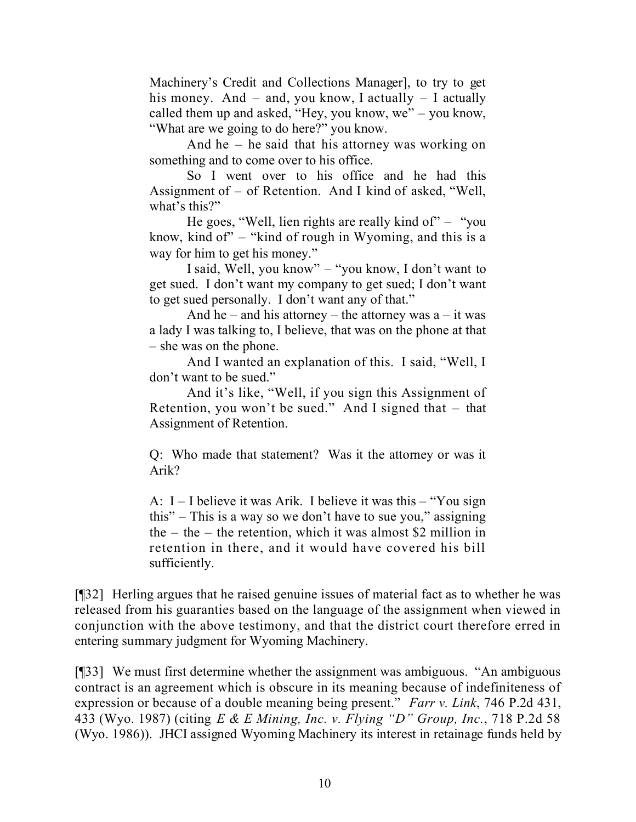Machinery's Credit and Collections Manager], to try to get his money. And  $-$  and, you know, I actually  $-$  I actually called them up and asked, "Hey, you know, we" – you know, "What are we going to do here?" you know.

And he – he said that his attorney was working on something and to come over to his office.

So I went over to his office and he had this Assignment of – of Retention. And I kind of asked, "Well, what's this?"

He goes, "Well, lien rights are really kind of"  $-$  "you" know, kind of"  $-$  "kind of rough in Wyoming, and this is a way for him to get his money."

I said, Well, you know" – "you know, I don't want to get sued. I don't want my company to get sued; I don't want to get sued personally. I don't want any of that."

And he – and his attorney – the attorney was  $a - it$  was a lady I was talking to, I believe, that was on the phone at that – she was on the phone.

And I wanted an explanation of this. I said, "Well, I don't want to be sued."

And it's like, "Well, if you sign this Assignment of Retention, you won't be sued." And I signed that – that Assignment of Retention.

Q: Who made that statement? Was it the attorney or was it Arik?

A: I – I believe it was Arik. I believe it was this – "You sign this" – This is a way so we don't have to sue you," assigning the – the – the retention, which it was almost \$2 million in retention in there, and it would have covered his bill sufficiently.

[¶32] Herling argues that he raised genuine issues of material fact as to whether he was released from his guaranties based on the language of the assignment when viewed in conjunction with the above testimony, and that the district court therefore erred in entering summary judgment for Wyoming Machinery.

[¶33] We must first determine whether the assignment was ambiguous. "An ambiguous contract is an agreement which is obscure in its meaning because of indefiniteness of expression or because of a double meaning being present." *Farr v. Link*, 746 P.2d 431, 433 (Wyo. 1987) (citing *E & E Mining, Inc. v. Flying "D" Group, Inc.*, 718 P.2d 58 (Wyo. 1986)). JHCI assigned Wyoming Machinery its interest in retainage funds held by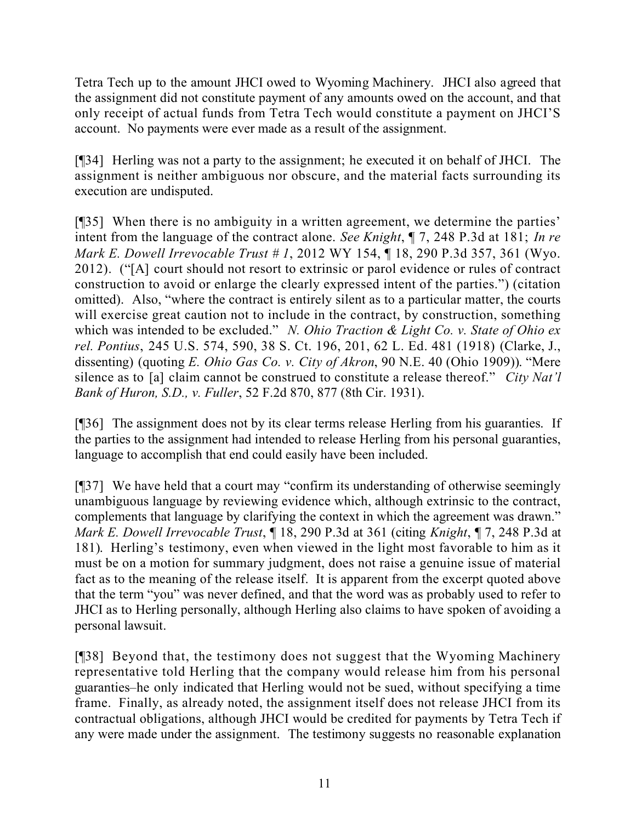Tetra Tech up to the amount JHCI owed to Wyoming Machinery. JHCI also agreed that the assignment did not constitute payment of any amounts owed on the account, and that only receipt of actual funds from Tetra Tech would constitute a payment on JHCI'S account. No payments were ever made as a result of the assignment.

[¶34] Herling was not a party to the assignment; he executed it on behalf of JHCI. The assignment is neither ambiguous nor obscure, and the material facts surrounding its execution are undisputed.

[¶35] When there is no ambiguity in a written agreement, we determine the parties' intent from the language of the contract alone. *See Knight*, ¶ 7, 248 P.3d at 181; *In re Mark E. Dowell Irrevocable Trust # 1*, 2012 WY 154, ¶ 18, 290 P.3d 357, 361 (Wyo. 2012). ("[A] court should not resort to extrinsic or parol evidence or rules of contract construction to avoid or enlarge the clearly expressed intent of the parties.") (citation omitted). Also, "where the contract is entirely silent as to a particular matter, the courts will exercise great caution not to include in the contract, by construction, something which was intended to be excluded." *N. Ohio Traction & Light Co. v. State of Ohio ex rel. Pontius*, 245 U.S. 574, 590, 38 S. Ct. 196, 201, 62 L. Ed. 481 (1918) (Clarke, J., dissenting) (quoting *E. Ohio Gas Co. v. City of Akron*, 90 N.E. 40 (Ohio 1909)). "Mere silence as to [a] claim cannot be construed to constitute a release thereof." *City Nat'l Bank of Huron, S.D., v. Fuller*, 52 F.2d 870, 877 (8th Cir. 1931).

[¶36] The assignment does not by its clear terms release Herling from his guaranties. If the parties to the assignment had intended to release Herling from his personal guaranties, language to accomplish that end could easily have been included.

[¶37] We have held that a court may "confirm its understanding of otherwise seemingly unambiguous language by reviewing evidence which, although extrinsic to the contract, complements that language by clarifying the context in which the agreement was drawn." *Mark E. Dowell Irrevocable Trust*, ¶ 18, 290 P.3d at 361 (citing *Knight*, ¶ 7, 248 P.3d at 181). Herling's testimony, even when viewed in the light most favorable to him as it must be on a motion for summary judgment, does not raise a genuine issue of material fact as to the meaning of the release itself. It is apparent from the excerpt quoted above that the term "you" was never defined, and that the word was as probably used to refer to JHCI as to Herling personally, although Herling also claims to have spoken of avoiding a personal lawsuit.

[¶38] Beyond that, the testimony does not suggest that the Wyoming Machinery representative told Herling that the company would release him from his personal guaranties–he only indicated that Herling would not be sued, without specifying a time frame. Finally, as already noted, the assignment itself does not release JHCI from its contractual obligations, although JHCI would be credited for payments by Tetra Tech if any were made under the assignment. The testimony suggests no reasonable explanation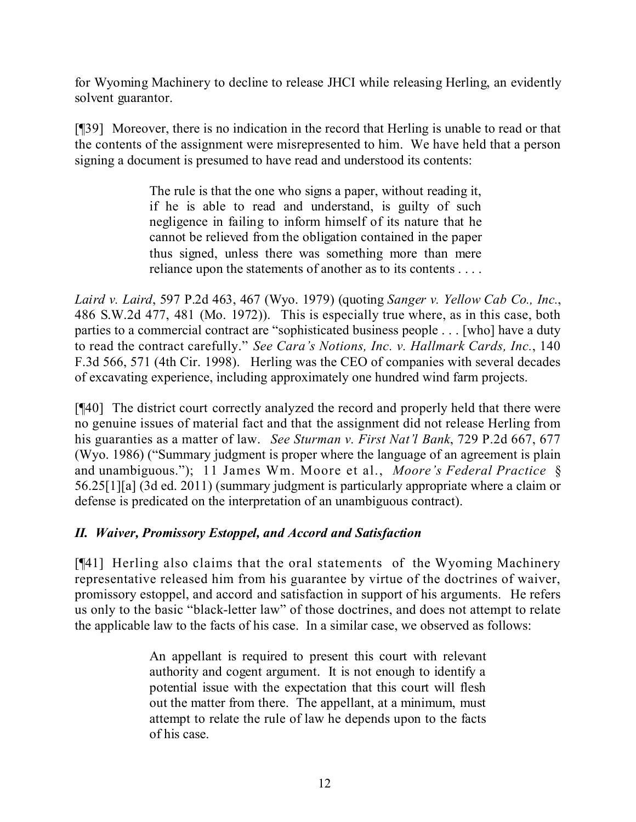for Wyoming Machinery to decline to release JHCI while releasing Herling, an evidently solvent guarantor.

[¶39] Moreover, there is no indication in the record that Herling is unable to read or that the contents of the assignment were misrepresented to him. We have held that a person signing a document is presumed to have read and understood its contents:

> The rule is that the one who signs a paper, without reading it, if he is able to read and understand, is guilty of such negligence in failing to inform himself of its nature that he cannot be relieved from the obligation contained in the paper thus signed, unless there was something more than mere reliance upon the statements of another as to its contents . . . .

*Laird v. Laird*, 597 P.2d 463, 467 (Wyo. 1979) (quoting *Sanger v. Yellow Cab Co., Inc.*, 486 S.W.2d 477, 481 (Mo. 1972)). This is especially true where, as in this case, both parties to a commercial contract are "sophisticated business people . . . [who] have a duty to read the contract carefully." *See Cara's Notions, Inc. v. Hallmark Cards, Inc.*, 140 F.3d 566, 571 (4th Cir. 1998). Herling was the CEO of companies with several decades of excavating experience, including approximately one hundred wind farm projects.

[¶40] The district court correctly analyzed the record and properly held that there were no genuine issues of material fact and that the assignment did not release Herling from his guaranties as a matter of law. *See Sturman v. First Nat'l Bank*, 729 P.2d 667, 677 (Wyo. 1986) ("Summary judgment is proper where the language of an agreement is plain and unambiguous."); 11 James Wm. Moore et al., *Moore's Federal Practice* § 56.25[1][a] (3d ed. 2011) (summary judgment is particularly appropriate where a claim or defense is predicated on the interpretation of an unambiguous contract).

# *II. Waiver, Promissory Estoppel, and Accord and Satisfaction*

[¶41] Herling also claims that the oral statements of the Wyoming Machinery representative released him from his guarantee by virtue of the doctrines of waiver, promissory estoppel, and accord and satisfaction in support of his arguments. He refers us only to the basic "black-letter law" of those doctrines, and does not attempt to relate the applicable law to the facts of his case. In a similar case, we observed as follows:

> An appellant is required to present this court with relevant authority and cogent argument. It is not enough to identify a potential issue with the expectation that this court will flesh out the matter from there. The appellant, at a minimum, must attempt to relate the rule of law he depends upon to the facts of his case.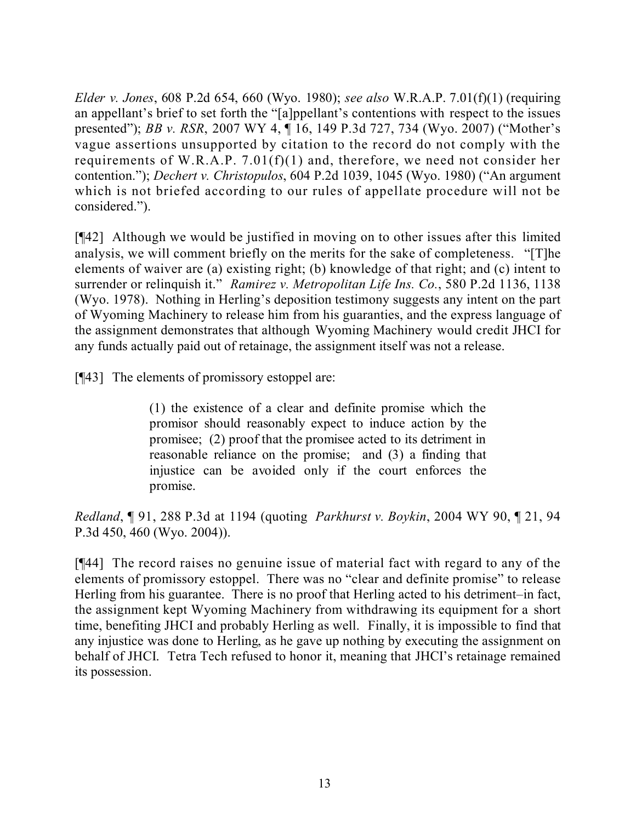*Elder v. Jones*, 608 P.2d 654, 660 (Wyo. 1980); *see also* W.R.A.P. 7.01(f)(1) (requiring an appellant's brief to set forth the "[a]ppellant's contentions with respect to the issues presented"); *BB v. RSR*, 2007 WY 4, ¶ 16, 149 P.3d 727, 734 (Wyo. 2007) ("Mother's vague assertions unsupported by citation to the record do not comply with the requirements of W.R.A.P. 7.01(f)(1) and, therefore, we need not consider her contention."); *Dechert v. Christopulos*, 604 P.2d 1039, 1045 (Wyo. 1980) ("An argument which is not briefed according to our rules of appellate procedure will not be considered.").

[¶42] Although we would be justified in moving on to other issues after this limited analysis, we will comment briefly on the merits for the sake of completeness. "[T]he elements of waiver are (a) existing right; (b) knowledge of that right; and (c) intent to surrender or relinquish it." *Ramirez v. Metropolitan Life Ins. Co.*, 580 P.2d 1136, 1138 (Wyo. 1978). Nothing in Herling's deposition testimony suggests any intent on the part of Wyoming Machinery to release him from his guaranties, and the express language of the assignment demonstrates that although Wyoming Machinery would credit JHCI for any funds actually paid out of retainage, the assignment itself was not a release.

[¶43] The elements of promissory estoppel are:

(1) the existence of a clear and definite promise which the promisor should reasonably expect to induce action by the promisee; (2) proof that the promisee acted to its detriment in reasonable reliance on the promise; and (3) a finding that injustice can be avoided only if the court enforces the promise.

*Redland*, ¶ 91, 288 P.3d at 1194 (quoting *Parkhurst v. Boykin*, 2004 WY 90, ¶ 21, 94 P.3d 450, 460 (Wyo. 2004)).

[¶44] The record raises no genuine issue of material fact with regard to any of the elements of promissory estoppel. There was no "clear and definite promise" to release Herling from his guarantee. There is no proof that Herling acted to his detriment–in fact, the assignment kept Wyoming Machinery from withdrawing its equipment for a short time, benefiting JHCI and probably Herling as well. Finally, it is impossible to find that any injustice was done to Herling, as he gave up nothing by executing the assignment on behalf of JHCI. Tetra Tech refused to honor it, meaning that JHCI's retainage remained its possession.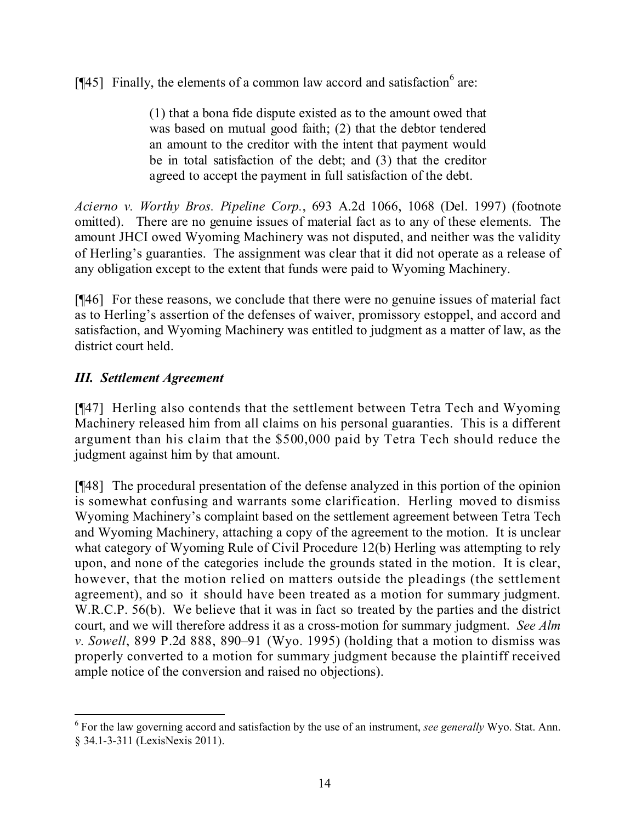[ $[$ 45] Finally, the elements of a common law accord and satisfaction  $6$  are:

(1) that a bona fide dispute existed as to the amount owed that was based on mutual good faith; (2) that the debtor tendered an amount to the creditor with the intent that payment would be in total satisfaction of the debt; and (3) that the creditor agreed to accept the payment in full satisfaction of the debt.

*Acierno v. Worthy Bros. Pipeline Corp.*, 693 A.2d 1066, 1068 (Del. 1997) (footnote omitted). There are no genuine issues of material fact as to any of these elements. The amount JHCI owed Wyoming Machinery was not disputed, and neither was the validity of Herling's guaranties. The assignment was clear that it did not operate as a release of any obligation except to the extent that funds were paid to Wyoming Machinery.

[¶46] For these reasons, we conclude that there were no genuine issues of material fact as to Herling's assertion of the defenses of waiver, promissory estoppel, and accord and satisfaction, and Wyoming Machinery was entitled to judgment as a matter of law, as the district court held.

## *III. Settlement Agreement*

[¶47] Herling also contends that the settlement between Tetra Tech and Wyoming Machinery released him from all claims on his personal guaranties. This is a different argument than his claim that the \$500,000 paid by Tetra Tech should reduce the judgment against him by that amount.

[¶48] The procedural presentation of the defense analyzed in this portion of the opinion is somewhat confusing and warrants some clarification. Herling moved to dismiss Wyoming Machinery's complaint based on the settlement agreement between Tetra Tech and Wyoming Machinery, attaching a copy of the agreement to the motion. It is unclear what category of Wyoming Rule of Civil Procedure 12(b) Herling was attempting to rely upon, and none of the categories include the grounds stated in the motion. It is clear, however, that the motion relied on matters outside the pleadings (the settlement agreement), and so it should have been treated as a motion for summary judgment. W.R.C.P. 56(b). We believe that it was in fact so treated by the parties and the district court, and we will therefore address it as a cross-motion for summary judgment. *See Alm v. Sowell*, 899 P.2d 888, 890–91 (Wyo. 1995) (holding that a motion to dismiss was properly converted to a motion for summary judgment because the plaintiff received ample notice of the conversion and raised no objections).

 6 For the law governing accord and satisfaction by the use of an instrument, *see generally* Wyo. Stat. Ann. § 34.1-3-311 (LexisNexis 2011).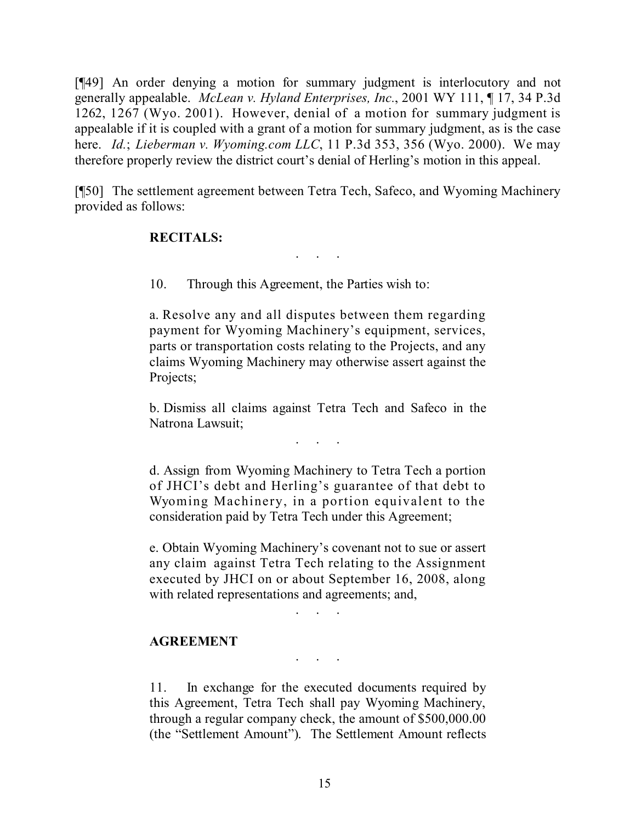[¶49] An order denying a motion for summary judgment is interlocutory and not generally appealable. *McLean v. Hyland Enterprises, Inc.*, 2001 WY 111, ¶ 17, 34 P.3d 1262, 1267 (Wyo. 2001). However, denial of a motion for summary judgment is appealable if it is coupled with a grant of a motion for summary judgment, as is the case here. *Id.*; *Lieberman v. Wyoming.com LLC*, 11 P.3d 353, 356 (Wyo. 2000). We may therefore properly review the district court's denial of Herling's motion in this appeal.

[¶50] The settlement agreement between Tetra Tech, Safeco, and Wyoming Machinery provided as follows:

. . .

#### **RECITALS:**

10. Through this Agreement, the Parties wish to:

a. Resolve any and all disputes between them regarding payment for Wyoming Machinery's equipment, services, parts or transportation costs relating to the Projects, and any claims Wyoming Machinery may otherwise assert against the Projects;

b. Dismiss all claims against Tetra Tech and Safeco in the Natrona Lawsuit;

. . . . .

d. Assign from Wyoming Machinery to Tetra Tech a portion of JHCI's debt and Herling's guarantee of that debt to Wyoming Machinery, in a portion equivalent to the consideration paid by Tetra Tech under this Agreement;

e. Obtain Wyoming Machinery's covenant not to sue or assert any claim against Tetra Tech relating to the Assignment executed by JHCI on or about September 16, 2008, along with related representations and agreements; and,

. . . . .

#### **AGREEMENT**

11. In exchange for the executed documents required by this Agreement, Tetra Tech shall pay Wyoming Machinery, through a regular company check, the amount of \$500,000.00 (the "Settlement Amount"). The Settlement Amount reflects

. . . . .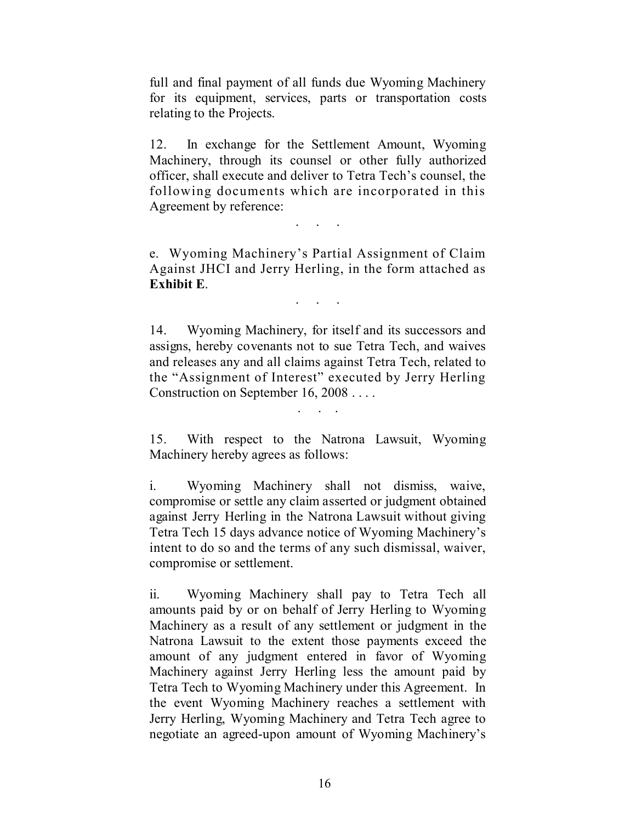full and final payment of all funds due Wyoming Machinery for its equipment, services, parts or transportation costs relating to the Projects.

12. In exchange for the Settlement Amount, Wyoming Machinery, through its counsel or other fully authorized officer, shall execute and deliver to Tetra Tech's counsel, the following documents which are incorporated in this Agreement by reference:

. . . . .

e. Wyoming Machinery's Partial Assignment of Claim Against JHCI and Jerry Herling, in the form attached as **Exhibit E**.

. . . . .

14. Wyoming Machinery, for itself and its successors and assigns, hereby covenants not to sue Tetra Tech, and waives and releases any and all claims against Tetra Tech, related to the "Assignment of Interest" executed by Jerry Herling Construction on September 16, 2008 . . . .

15. With respect to the Natrona Lawsuit, Wyoming Machinery hereby agrees as follows:

. . . .

i. Wyoming Machinery shall not dismiss, waive, compromise or settle any claim asserted or judgment obtained against Jerry Herling in the Natrona Lawsuit without giving Tetra Tech 15 days advance notice of Wyoming Machinery's intent to do so and the terms of any such dismissal, waiver, compromise or settlement.

ii. Wyoming Machinery shall pay to Tetra Tech all amounts paid by or on behalf of Jerry Herling to Wyoming Machinery as a result of any settlement or judgment in the Natrona Lawsuit to the extent those payments exceed the amount of any judgment entered in favor of Wyoming Machinery against Jerry Herling less the amount paid by Tetra Tech to Wyoming Machinery under this Agreement. In the event Wyoming Machinery reaches a settlement with Jerry Herling, Wyoming Machinery and Tetra Tech agree to negotiate an agreed-upon amount of Wyoming Machinery's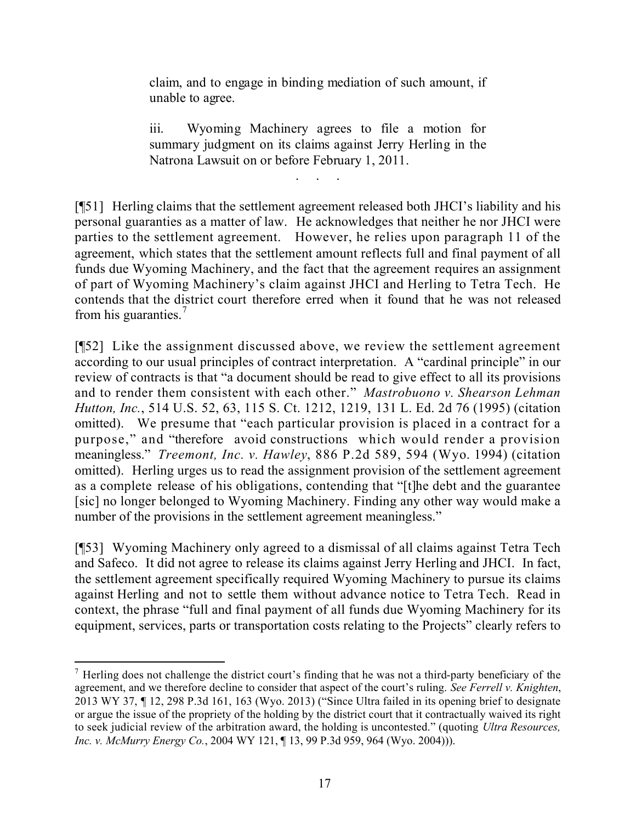claim, and to engage in binding mediation of such amount, if unable to agree.

iii. Wyoming Machinery agrees to file a motion for summary judgment on its claims against Jerry Herling in the Natrona Lawsuit on or before February 1, 2011.

. . . . .

[¶51] Herling claims that the settlement agreement released both JHCI's liability and his personal guaranties as a matter of law. He acknowledges that neither he nor JHCI were parties to the settlement agreement. However, he relies upon paragraph 11 of the agreement, which states that the settlement amount reflects full and final payment of all funds due Wyoming Machinery, and the fact that the agreement requires an assignment of part of Wyoming Machinery's claim against JHCI and Herling to Tetra Tech. He contends that the district court therefore erred when it found that he was not released from his guaranties.<sup>7</sup>

[¶52] Like the assignment discussed above, we review the settlement agreement according to our usual principles of contract interpretation. A "cardinal principle" in our review of contracts is that "a document should be read to give effect to all its provisions and to render them consistent with each other." *Mastrobuono v. Shearson Lehman Hutton, Inc.*, 514 U.S. 52, 63, 115 S. Ct. 1212, 1219, 131 L. Ed. 2d 76 (1995) (citation omitted). We presume that "each particular provision is placed in a contract for a purpose," and "therefore avoid constructions which would render a provision meaningless." *Treemont, Inc. v. Hawley*, 886 P.2d 589, 594 (Wyo. 1994) (citation omitted). Herling urges us to read the assignment provision of the settlement agreement as a complete release of his obligations, contending that "[t]he debt and the guarantee [sic] no longer belonged to Wyoming Machinery. Finding any other way would make a number of the provisions in the settlement agreement meaningless."

[¶53] Wyoming Machinery only agreed to a dismissal of all claims against Tetra Tech and Safeco. It did not agree to release its claims against Jerry Herling and JHCI. In fact, the settlement agreement specifically required Wyoming Machinery to pursue its claims against Herling and not to settle them without advance notice to Tetra Tech. Read in context, the phrase "full and final payment of all funds due Wyoming Machinery for its equipment, services, parts or transportation costs relating to the Projects" clearly refers to

 $<sup>7</sup>$  Herling does not challenge the district court's finding that he was not a third-party beneficiary of the</sup> agreement, and we therefore decline to consider that aspect of the court's ruling. *See Ferrell v. Knighten*, 2013 WY 37, ¶ 12, 298 P.3d 161, 163 (Wyo. 2013) ("Since Ultra failed in its opening brief to designate or argue the issue of the propriety of the holding by the district court that it contractually waived its right to seek judicial review of the arbitration award, the holding is uncontested." (quoting *Ultra Resources, Inc. v. McMurry Energy Co.*, 2004 WY 121, ¶ 13, 99 P.3d 959, 964 (Wyo. 2004))).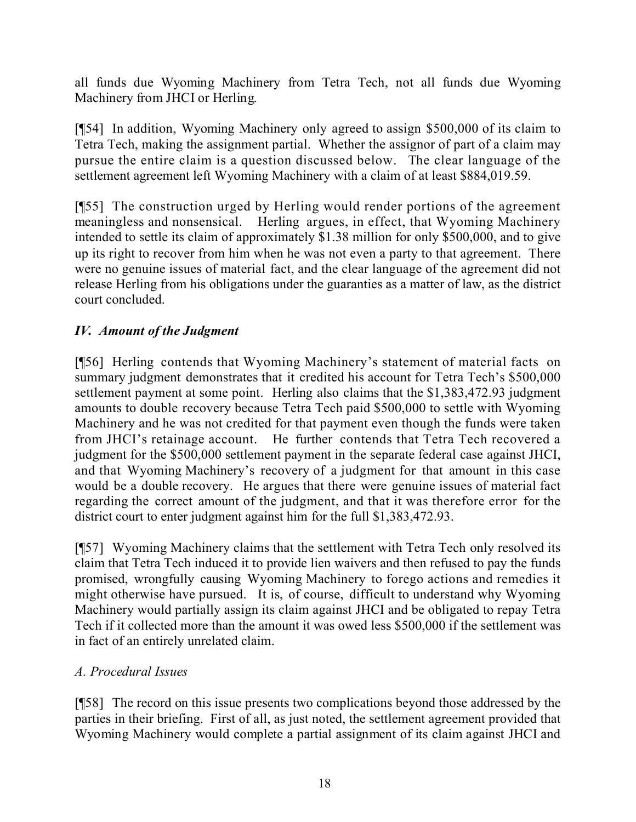all funds due Wyoming Machinery from Tetra Tech, not all funds due Wyoming Machinery from JHCI or Herling.

[¶54] In addition, Wyoming Machinery only agreed to assign \$500,000 of its claim to Tetra Tech, making the assignment partial. Whether the assignor of part of a claim may pursue the entire claim is a question discussed below. The clear language of the settlement agreement left Wyoming Machinery with a claim of at least \$884,019.59.

[¶55] The construction urged by Herling would render portions of the agreement meaningless and nonsensical. Herling argues, in effect, that Wyoming Machinery intended to settle its claim of approximately \$1.38 million for only \$500,000, and to give up its right to recover from him when he was not even a party to that agreement. There were no genuine issues of material fact, and the clear language of the agreement did not release Herling from his obligations under the guaranties as a matter of law, as the district court concluded.

# *IV. Amount of the Judgment*

[¶56] Herling contends that Wyoming Machinery's statement of material facts on summary judgment demonstrates that it credited his account for Tetra Tech's \$500,000 settlement payment at some point. Herling also claims that the \$1,383,472.93 judgment amounts to double recovery because Tetra Tech paid \$500,000 to settle with Wyoming Machinery and he was not credited for that payment even though the funds were taken from JHCI's retainage account. He further contends that Tetra Tech recovered a judgment for the \$500,000 settlement payment in the separate federal case against JHCI, and that Wyoming Machinery's recovery of a judgment for that amount in this case would be a double recovery. He argues that there were genuine issues of material fact regarding the correct amount of the judgment, and that it was therefore error for the district court to enter judgment against him for the full \$1,383,472.93.

[¶57] Wyoming Machinery claims that the settlement with Tetra Tech only resolved its claim that Tetra Tech induced it to provide lien waivers and then refused to pay the funds promised, wrongfully causing Wyoming Machinery to forego actions and remedies it might otherwise have pursued. It is, of course, difficult to understand why Wyoming Machinery would partially assign its claim against JHCI and be obligated to repay Tetra Tech if it collected more than the amount it was owed less \$500,000 if the settlement was in fact of an entirely unrelated claim.

## *A. Procedural Issues*

[¶58] The record on this issue presents two complications beyond those addressed by the parties in their briefing. First of all, as just noted, the settlement agreement provided that Wyoming Machinery would complete a partial assignment of its claim against JHCI and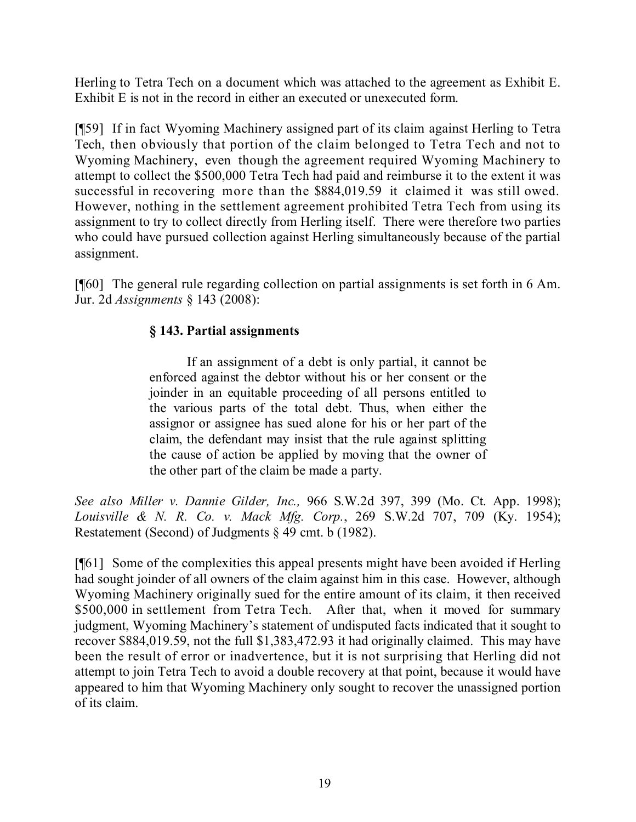Herling to Tetra Tech on a document which was attached to the agreement as Exhibit E. Exhibit E is not in the record in either an executed or unexecuted form.

[¶59] If in fact Wyoming Machinery assigned part of its claim against Herling to Tetra Tech, then obviously that portion of the claim belonged to Tetra Tech and not to Wyoming Machinery, even though the agreement required Wyoming Machinery to attempt to collect the \$500,000 Tetra Tech had paid and reimburse it to the extent it was successful in recovering more than the \$884,019.59 it claimed it was still owed. However, nothing in the settlement agreement prohibited Tetra Tech from using its assignment to try to collect directly from Herling itself. There were therefore two parties who could have pursued collection against Herling simultaneously because of the partial assignment.

[¶60] The general rule regarding collection on partial assignments is set forth in 6 Am. Jur. 2d *Assignments* § 143 (2008):

## **§ 143. Partial assignments**

If an assignment of a debt is only partial, it cannot be enforced against the debtor without his or her consent or the joinder in an equitable proceeding of all persons entitled to the various parts of the total debt. Thus, when either the assignor or assignee has sued alone for his or her part of the claim, the defendant may insist that the rule against splitting the cause of action be applied by moving that the owner of the other part of the claim be made a party.

*See also Miller v. Dannie Gilder, Inc.,* 966 S.W.2d 397, 399 (Mo. Ct. App. 1998); *Louisville & N. R. Co. v. Mack Mfg. Corp.*, 269 S.W.2d 707, 709 (Ky. 1954); Restatement (Second) of Judgments § 49 cmt. b (1982).

[¶61] Some of the complexities this appeal presents might have been avoided if Herling had sought joinder of all owners of the claim against him in this case. However, although Wyoming Machinery originally sued for the entire amount of its claim, it then received \$500,000 in settlement from Tetra Tech. After that, when it moved for summary judgment, Wyoming Machinery's statement of undisputed facts indicated that it sought to recover \$884,019.59, not the full \$1,383,472.93 it had originally claimed. This may have been the result of error or inadvertence, but it is not surprising that Herling did not attempt to join Tetra Tech to avoid a double recovery at that point, because it would have appeared to him that Wyoming Machinery only sought to recover the unassigned portion of its claim.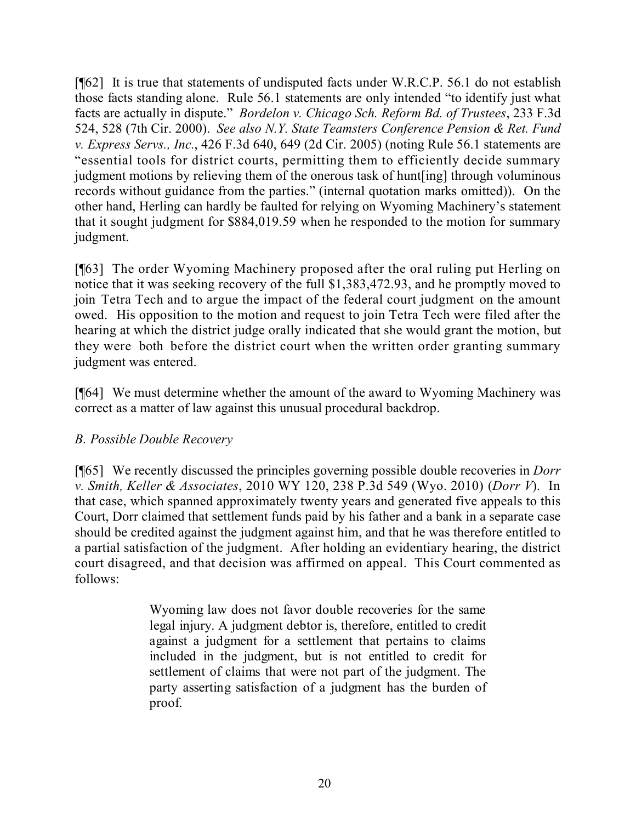[¶62] It is true that statements of undisputed facts under W.R.C.P. 56.1 do not establish those facts standing alone. Rule 56.1 statements are only intended "to identify just what facts are actually in dispute." *Bordelon v. Chicago Sch. Reform Bd. of Trustees*, 233 F.3d 524, 528 (7th Cir. 2000). *See also N.Y. State Teamsters Conference Pension & Ret. Fund v. Express Servs., Inc.*, 426 F.3d 640, 649 (2d Cir. 2005) (noting Rule 56.1 statements are "essential tools for district courts, permitting them to efficiently decide summary judgment motions by relieving them of the onerous task of hunt[ing] through voluminous records without guidance from the parties." (internal quotation marks omitted)). On the other hand, Herling can hardly be faulted for relying on Wyoming Machinery's statement that it sought judgment for \$884,019.59 when he responded to the motion for summary judgment.

[¶63] The order Wyoming Machinery proposed after the oral ruling put Herling on notice that it was seeking recovery of the full \$1,383,472.93, and he promptly moved to join Tetra Tech and to argue the impact of the federal court judgment on the amount owed. His opposition to the motion and request to join Tetra Tech were filed after the hearing at which the district judge orally indicated that she would grant the motion, but they were both before the district court when the written order granting summary judgment was entered.

[¶64] We must determine whether the amount of the award to Wyoming Machinery was correct as a matter of law against this unusual procedural backdrop.

## *B. Possible Double Recovery*

[¶65] We recently discussed the principles governing possible double recoveries in *Dorr v. Smith, Keller & Associates*, 2010 WY 120, 238 P.3d 549 (Wyo. 2010) (*Dorr V*). In that case, which spanned approximately twenty years and generated five appeals to this Court, Dorr claimed that settlement funds paid by his father and a bank in a separate case should be credited against the judgment against him, and that he was therefore entitled to a partial satisfaction of the judgment. After holding an evidentiary hearing, the district court disagreed, and that decision was affirmed on appeal. This Court commented as follows:

> Wyoming law does not favor double recoveries for the same legal injury. A judgment debtor is, therefore, entitled to credit against a judgment for a settlement that pertains to claims included in the judgment, but is not entitled to credit for settlement of claims that were not part of the judgment. The party asserting satisfaction of a judgment has the burden of proof.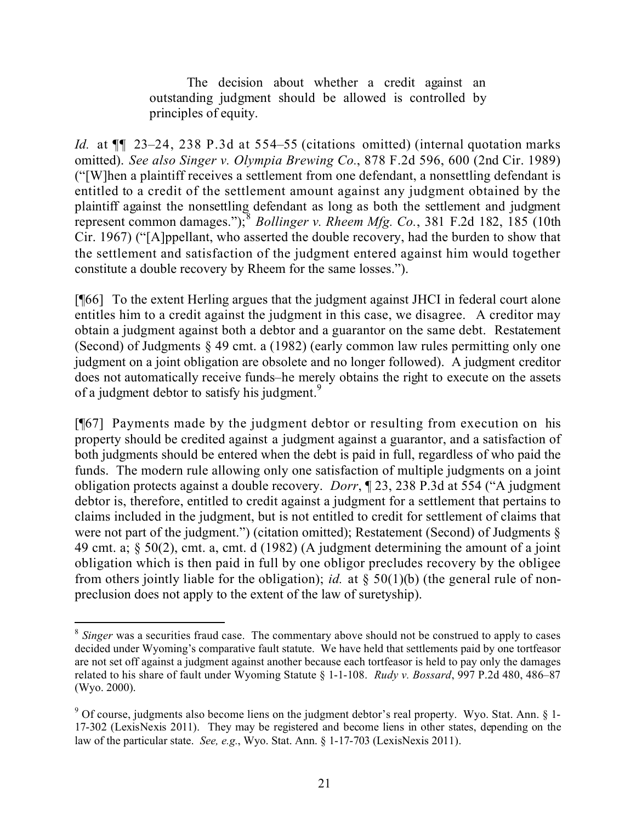The decision about whether a credit against an outstanding judgment should be allowed is controlled by principles of equity.

*Id.* at ¶¶ 23–24, 238 P.3d at 554–55 (citations omitted) (internal quotation marks omitted). *See also Singer v. Olympia Brewing Co.*, 878 F.2d 596, 600 (2nd Cir. 1989) ("[W]hen a plaintiff receives a settlement from one defendant, a nonsettling defendant is entitled to a credit of the settlement amount against any judgment obtained by the plaintiff against the nonsettling defendant as long as both the settlement and judgment represent common damages."); 8 *Bollinger v. Rheem Mfg. Co.*, 381 F.2d 182, 185 (10th Cir. 1967) ("[A]ppellant, who asserted the double recovery, had the burden to show that the settlement and satisfaction of the judgment entered against him would together constitute a double recovery by Rheem for the same losses.").

[¶66] To the extent Herling argues that the judgment against JHCI in federal court alone entitles him to a credit against the judgment in this case, we disagree. A creditor may obtain a judgment against both a debtor and a guarantor on the same debt. Restatement (Second) of Judgments § 49 cmt. a (1982) (early common law rules permitting only one judgment on a joint obligation are obsolete and no longer followed).A judgment creditor does not automatically receive funds–he merely obtains the right to execute on the assets of a judgment debtor to satisfy his judgment.<sup>9</sup>

[¶67] Payments made by the judgment debtor or resulting from execution on his property should be credited against a judgment against a guarantor, and a satisfaction of both judgments should be entered when the debt is paid in full, regardless of who paid the funds. The modern rule allowing only one satisfaction of multiple judgments on a joint obligation protects against a double recovery. *Dorr*, ¶ 23, 238 P.3d at 554 ("A judgment debtor is, therefore, entitled to credit against a judgment for a settlement that pertains to claims included in the judgment, but is not entitled to credit for settlement of claims that were not part of the judgment.") (citation omitted); Restatement (Second) of Judgments  $\S$ 49 cmt. a; § 50(2), cmt. a, cmt. d (1982) (A judgment determining the amount of a joint obligation which is then paid in full by one obligor precludes recovery by the obligee from others jointly liable for the obligation); *id.* at § 50(1)(b) (the general rule of nonpreclusion does not apply to the extent of the law of suretyship).

 $\overline{a}$ 

<sup>&</sup>lt;sup>8</sup> Singer was a securities fraud case. The commentary above should not be construed to apply to cases decided under Wyoming's comparative fault statute. We have held that settlements paid by one tortfeasor are not set off against a judgment against another because each tortfeasor is held to pay only the damages related to his share of fault under Wyoming Statute § 1-1-108. *Rudy v. Bossard*, 997 P.2d 480, 486–87 (Wyo. 2000).

<sup>9</sup> Of course, judgments also become liens on the judgment debtor's real property. Wyo. Stat. Ann. § 1- 17-302 (LexisNexis 2011). They may be registered and become liens in other states, depending on the law of the particular state. *See, e.g.*, Wyo. Stat. Ann. § 1-17-703 (LexisNexis 2011).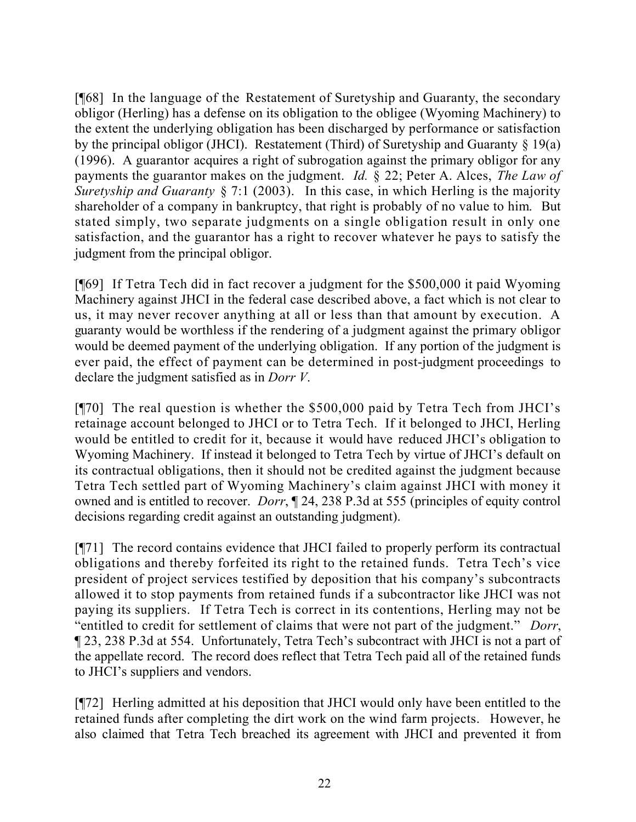[¶68] In the language of the Restatement of Suretyship and Guaranty, the secondary obligor (Herling) has a defense on its obligation to the obligee (Wyoming Machinery) to the extent the underlying obligation has been discharged by performance or satisfaction by the principal obligor (JHCI). Restatement (Third) of Suretyship and Guaranty  $\S$  19(a) (1996). A guarantor acquires a right of subrogation against the primary obligor for any payments the guarantor makes on the judgment. *Id.* § 22; Peter A. Alces, *The Law of Suretyship and Guaranty* § 7:1 (2003). In this case, in which Herling is the majority shareholder of a company in bankruptcy, that right is probably of no value to him. But stated simply, two separate judgments on a single obligation result in only one satisfaction, and the guarantor has a right to recover whatever he pays to satisfy the judgment from the principal obligor.

[¶69] If Tetra Tech did in fact recover a judgment for the \$500,000 it paid Wyoming Machinery against JHCI in the federal case described above, a fact which is not clear to us, it may never recover anything at all or less than that amount by execution. A guaranty would be worthless if the rendering of a judgment against the primary obligor would be deemed payment of the underlying obligation. If any portion of the judgment is ever paid, the effect of payment can be determined in post-judgment proceedings to declare the judgment satisfied as in *Dorr V*.

[¶70] The real question is whether the \$500,000 paid by Tetra Tech from JHCI's retainage account belonged to JHCI or to Tetra Tech. If it belonged to JHCI, Herling would be entitled to credit for it, because it would have reduced JHCI's obligation to Wyoming Machinery. If instead it belonged to Tetra Tech by virtue of JHCI's default on its contractual obligations, then it should not be credited against the judgment because Tetra Tech settled part of Wyoming Machinery's claim against JHCI with money it owned and is entitled to recover. *Dorr*, ¶ 24, 238 P.3d at 555 (principles of equity control decisions regarding credit against an outstanding judgment).

[¶71] The record contains evidence that JHCI failed to properly perform its contractual obligations and thereby forfeited its right to the retained funds. Tetra Tech's vice president of project services testified by deposition that his company's subcontracts allowed it to stop payments from retained funds if a subcontractor like JHCI was not paying its suppliers. If Tetra Tech is correct in its contentions, Herling may not be "entitled to credit for settlement of claims that were not part of the judgment." *Dorr*, ¶ 23, 238 P.3d at 554. Unfortunately, Tetra Tech's subcontract with JHCI is not a part of the appellate record. The record does reflect that Tetra Tech paid all of the retained funds to JHCI's suppliers and vendors.

[¶72] Herling admitted at his deposition that JHCI would only have been entitled to the retained funds after completing the dirt work on the wind farm projects. However, he also claimed that Tetra Tech breached its agreement with JHCI and prevented it from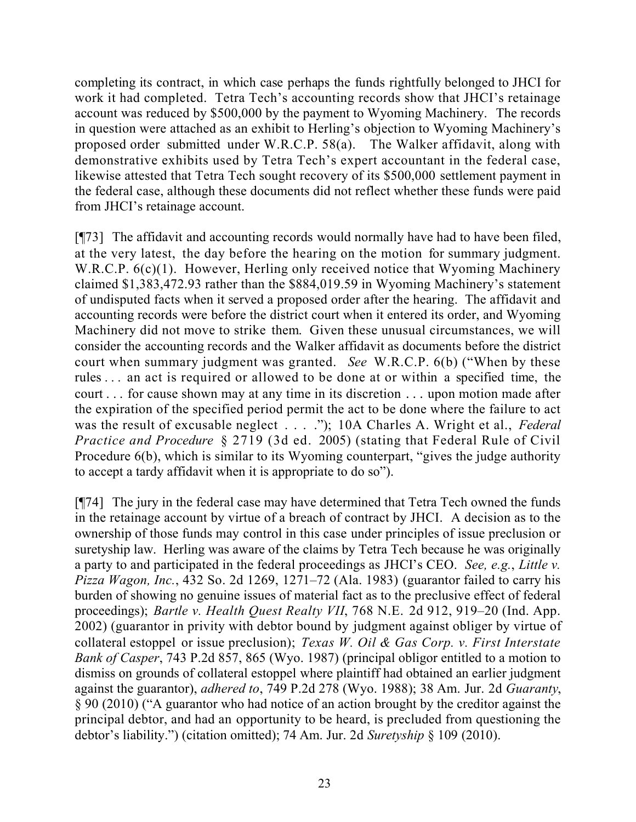completing its contract, in which case perhaps the funds rightfully belonged to JHCI for work it had completed. Tetra Tech's accounting records show that JHCI's retainage account was reduced by \$500,000 by the payment to Wyoming Machinery. The records in question were attached as an exhibit to Herling's objection to Wyoming Machinery's proposed order submitted under W.R.C.P. 58(a). The Walker affidavit, along with demonstrative exhibits used by Tetra Tech's expert accountant in the federal case, likewise attested that Tetra Tech sought recovery of its \$500,000 settlement payment in the federal case, although these documents did not reflect whether these funds were paid from JHCI's retainage account.

[¶73] The affidavit and accounting records would normally have had to have been filed, at the very latest, the day before the hearing on the motion for summary judgment. W.R.C.P.  $6(c)(1)$ . However, Herling only received notice that Wyoming Machinery claimed \$1,383,472.93 rather than the \$884,019.59 in Wyoming Machinery's statement of undisputed facts when it served a proposed order after the hearing. The affidavit and accounting records were before the district court when it entered its order, and Wyoming Machinery did not move to strike them. Given these unusual circumstances, we will consider the accounting records and the Walker affidavit as documents before the district court when summary judgment was granted. *See* W.R.C.P. 6(b) ("When by these rules . . . an act is required or allowed to be done at or within a specified time, the court . . . for cause shown may at any time in its discretion . . . upon motion made after the expiration of the specified period permit the act to be done where the failure to act was the result of excusable neglect . . . ."); 10A Charles A. Wright et al., *Federal Practice and Procedure* § 2719 (3d ed. 2005) (stating that Federal Rule of Civil Procedure 6(b), which is similar to its Wyoming counterpart, "gives the judge authority to accept a tardy affidavit when it is appropriate to do so").

[¶74] The jury in the federal case may have determined that Tetra Tech owned the funds in the retainage account by virtue of a breach of contract by JHCI. A decision as to the ownership of those funds may control in this case under principles of issue preclusion or suretyship law. Herling was aware of the claims by Tetra Tech because he was originally a party to and participated in the federal proceedings as JHCI's CEO. *See, e.g.*, *Little v. Pizza Wagon, Inc.*, 432 So. 2d 1269, 1271–72 (Ala. 1983) (guarantor failed to carry his burden of showing no genuine issues of material fact as to the preclusive effect of federal proceedings); *Bartle v. Health Quest Realty VII*, 768 N.E. 2d 912, 919–20 (Ind. App. 2002) (guarantor in privity with debtor bound by judgment against obliger by virtue of collateral estoppel or issue preclusion); *Texas W. Oil & Gas Corp. v. First Interstate Bank of Casper*, 743 P.2d 857, 865 (Wyo. 1987) (principal obligor entitled to a motion to dismiss on grounds of collateral estoppel where plaintiff had obtained an earlier judgment against the guarantor), *adhered to*, 749 P.2d 278 (Wyo. 1988); 38 Am. Jur. 2d *Guaranty*, § 90 (2010) ("A guarantor who had notice of an action brought by the creditor against the principal debtor, and had an opportunity to be heard, is precluded from questioning the debtor's liability.") (citation omitted); 74 Am. Jur. 2d *Suretyship* § 109 (2010).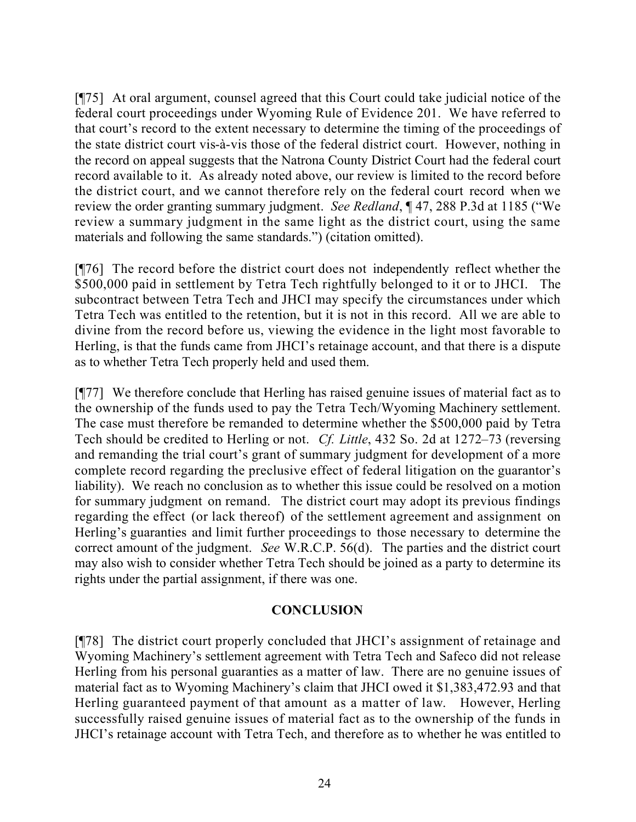[¶75] At oral argument, counsel agreed that this Court could take judicial notice of the federal court proceedings under Wyoming Rule of Evidence 201. We have referred to that court's record to the extent necessary to determine the timing of the proceedings of the state district court vis-à-vis those of the federal district court. However, nothing in the record on appeal suggests that the Natrona County District Court had the federal court record available to it. As already noted above, our review is limited to the record before the district court, and we cannot therefore rely on the federal court record when we review the order granting summary judgment. *See Redland*, ¶ 47, 288 P.3d at 1185 ("We review a summary judgment in the same light as the district court, using the same materials and following the same standards.") (citation omitted).

[¶76] The record before the district court does not independently reflect whether the \$500,000 paid in settlement by Tetra Tech rightfully belonged to it or to JHCI. The subcontract between Tetra Tech and JHCI may specify the circumstances under which Tetra Tech was entitled to the retention, but it is not in this record. All we are able to divine from the record before us, viewing the evidence in the light most favorable to Herling, is that the funds came from JHCI's retainage account, and that there is a dispute as to whether Tetra Tech properly held and used them.

[¶77] We therefore conclude that Herling has raised genuine issues of material fact as to the ownership of the funds used to pay the Tetra Tech/Wyoming Machinery settlement. The case must therefore be remanded to determine whether the \$500,000 paid by Tetra Tech should be credited to Herling or not. *Cf. Little*, 432 So. 2d at 1272–73 (reversing and remanding the trial court's grant of summary judgment for development of a more complete record regarding the preclusive effect of federal litigation on the guarantor's liability). We reach no conclusion as to whether this issue could be resolved on a motion for summary judgment on remand. The district court may adopt its previous findings regarding the effect (or lack thereof) of the settlement agreement and assignment on Herling's guaranties and limit further proceedings to those necessary to determine the correct amount of the judgment. *See* W.R.C.P. 56(d). The parties and the district court may also wish to consider whether Tetra Tech should be joined as a party to determine its rights under the partial assignment, if there was one.

## **CONCLUSION**

[¶78] The district court properly concluded that JHCI's assignment of retainage and Wyoming Machinery's settlement agreement with Tetra Tech and Safeco did not release Herling from his personal guaranties as a matter of law. There are no genuine issues of material fact as to Wyoming Machinery's claim that JHCI owed it \$1,383,472.93 and that Herling guaranteed payment of that amount as a matter of law. However, Herling successfully raised genuine issues of material fact as to the ownership of the funds in JHCI's retainage account with Tetra Tech, and therefore as to whether he was entitled to